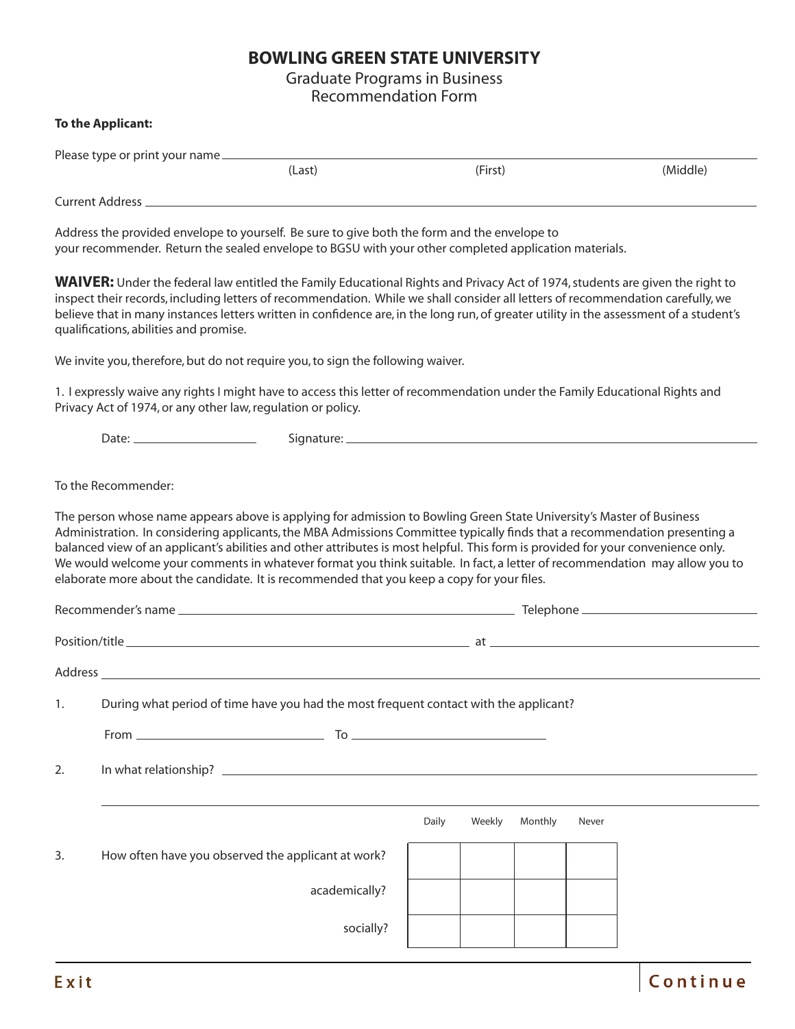## **BOWLING GREEN STATE UNIVERSITY**

Graduate Programs in Business Recommendation Form

## **To the Applicant:**

| Please type or print your name __ |        |         |          |  |  |  |  |
|-----------------------------------|--------|---------|----------|--|--|--|--|
|                                   | (Last) | (First) | (Middle) |  |  |  |  |
| <b>Current Address</b>            |        |         |          |  |  |  |  |

Address the provided envelope to yourself. Be sure to give both the form and the envelope to your recommender. Return the sealed envelope to BGSU with your other completed application materials.

**WAIVER:** Under the federal law entitled the Family Educational Rights and Privacy Act of 1974, students are given the right to inspect their records, including letters of recommendation. While we shall consider all letters of recommendation carefully, we believe that in many instances letters written in confidence are, in the long run, of greater utility in the assessment of a student's qualifications, abilities and promise.

We invite you, therefore, but do not require you, to sign the following waiver.

1. I expressly waive any rights I might have to access this letter of recommendation under the Family Educational Rights and Privacy Act of 1974, or any other law, regulation or policy.

Date: Signature:

To the Recommender:

The person whose name appears above is applying for admission to Bowling Green State University's Master of Business Administration. In considering applicants, the MBA Admissions Committee typically finds that a recommendation presenting a balanced view of an applicant's abilities and other attributes is most helpful. This form is provided for your convenience only. We would welcome your comments in whatever format you think suitable. In fact, a letter of recommendation may allow you to elaborate more about the candidate. It is recommended that you keep a copy for your files.

| 1. | During what period of time have you had the most frequent contact with the applicant? |       |        |         |       |  |  |  |
|----|---------------------------------------------------------------------------------------|-------|--------|---------|-------|--|--|--|
|    |                                                                                       |       |        |         |       |  |  |  |
| 2. |                                                                                       |       |        |         |       |  |  |  |
|    |                                                                                       |       |        |         |       |  |  |  |
|    |                                                                                       | Daily | Weekly | Monthly | Never |  |  |  |
| 3. | How often have you observed the applicant at work?                                    |       |        |         |       |  |  |  |
|    | academically?                                                                         |       |        |         |       |  |  |  |
|    | socially?                                                                             |       |        |         |       |  |  |  |